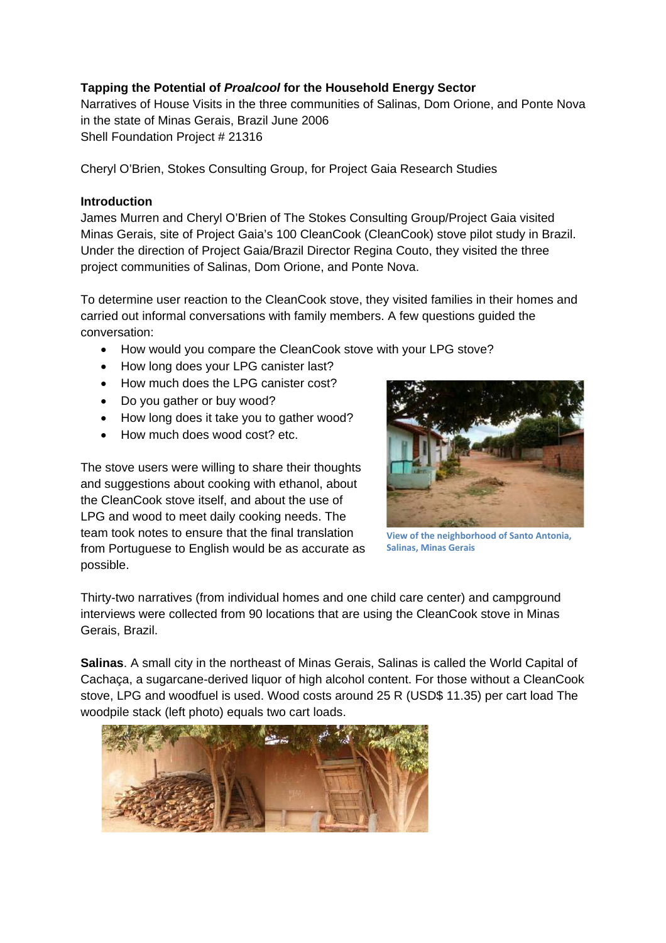## **Tapping the Potential of** *Proalcool* **for the Household Energy Sector**

Narratives of House Visits in the three communities of Salinas, Dom Orione, and Ponte Nova in the state of Minas Gerais, Brazil June 2006 Shell Foundation Project # 21316

Cheryl O'Brien, Stokes Consulting Group, for Project Gaia Research Studies

#### **Introduction**

James Murren and Cheryl O'Brien of The Stokes Consulting Group/Project Gaia visited Minas Gerais, site of Project Gaia's 100 CleanCook (CleanCook) stove pilot study in Brazil. Under the direction of Project Gaia/Brazil Director Regina Couto, they visited the three project communities of Salinas, Dom Orione, and Ponte Nova.

To determine user reaction to the CleanCook stove, they visited families in their homes and carried out informal conversations with family members. A few questions guided the conversation:

- How would you compare the CleanCook stove with your LPG stove?
- How long does your LPG canister last?
- How much does the LPG canister cost?
- Do you gather or buy wood?
- How long does it take you to gather wood?
- How much does wood cost? etc.

The stove users were willing to share their thoughts and suggestions about cooking with ethanol, about the CleanCook stove itself, and about the use of LPG and wood to meet daily cooking needs. The team took notes to ensure that the final translation from Portuguese to English would be as accurate as possible.



**View of the neighborhood of Santo Antonia, Salinas, Minas Gerais**

Thirty-two narratives (from individual homes and one child care center) and campground interviews were collected from 90 locations that are using the CleanCook stove in Minas Gerais, Brazil.

**Salinas**. A small city in the northeast of Minas Gerais, Salinas is called the World Capital of Cachaça, a sugarcane-derived liquor of high alcohol content. For those without a CleanCook stove, LPG and woodfuel is used. Wood costs around 25 R (USD\$ 11.35) per cart load The woodpile stack (left photo) equals two cart loads.

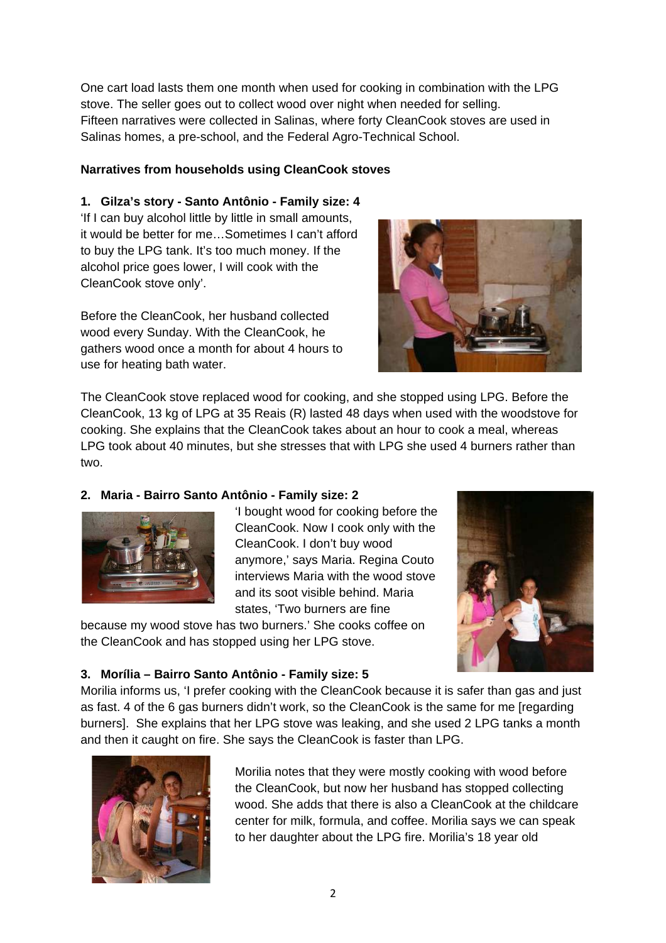One cart load lasts them one month when used for cooking in combination with the LPG stove. The seller goes out to collect wood over night when needed for selling. Fifteen narratives were collected in Salinas, where forty CleanCook stoves are used in Salinas homes, a pre-school, and the Federal Agro-Technical School.

## **Narratives from households using CleanCook stoves**

### **1. Gilza's story - Santo Antônio - Family size: 4**

'If I can buy alcohol little by little in small amounts, it would be better for me…Sometimes I can't afford to buy the LPG tank. It's too much money. If the alcohol price goes lower, I will cook with the CleanCook stove only'.

Before the CleanCook, her husband collected wood every Sunday. With the CleanCook, he gathers wood once a month for about 4 hours to use for heating bath water.



The CleanCook stove replaced wood for cooking, and she stopped using LPG. Before the CleanCook, 13 kg of LPG at 35 Reais (R) lasted 48 days when used with the woodstove for cooking. She explains that the CleanCook takes about an hour to cook a meal, whereas LPG took about 40 minutes, but she stresses that with LPG she used 4 burners rather than two.

# **2. Maria - Bairro Santo Antônio - Family size: 2**



'I bought wood for cooking before the CleanCook. Now I cook only with the CleanCook. I don't buy wood anymore,' says Maria. Regina Couto interviews Maria with the wood stove and its soot visible behind. Maria states, 'Two burners are fine

because my wood stove has two burners.' She cooks coffee on the CleanCook and has stopped using her LPG stove.



### **3. Morília – Bairro Santo Antônio - Family size: 5**

Morilia informs us, 'I prefer cooking with the CleanCook because it is safer than gas and just as fast. 4 of the 6 gas burners didn't work, so the CleanCook is the same for me [regarding burners]. She explains that her LPG stove was leaking, and she used 2 LPG tanks a month and then it caught on fire. She says the CleanCook is faster than LPG.



Morilia notes that they were mostly cooking with wood before the CleanCook, but now her husband has stopped collecting wood. She adds that there is also a CleanCook at the childcare center for milk, formula, and coffee. Morilia says we can speak to her daughter about the LPG fire. Morilia's 18 year old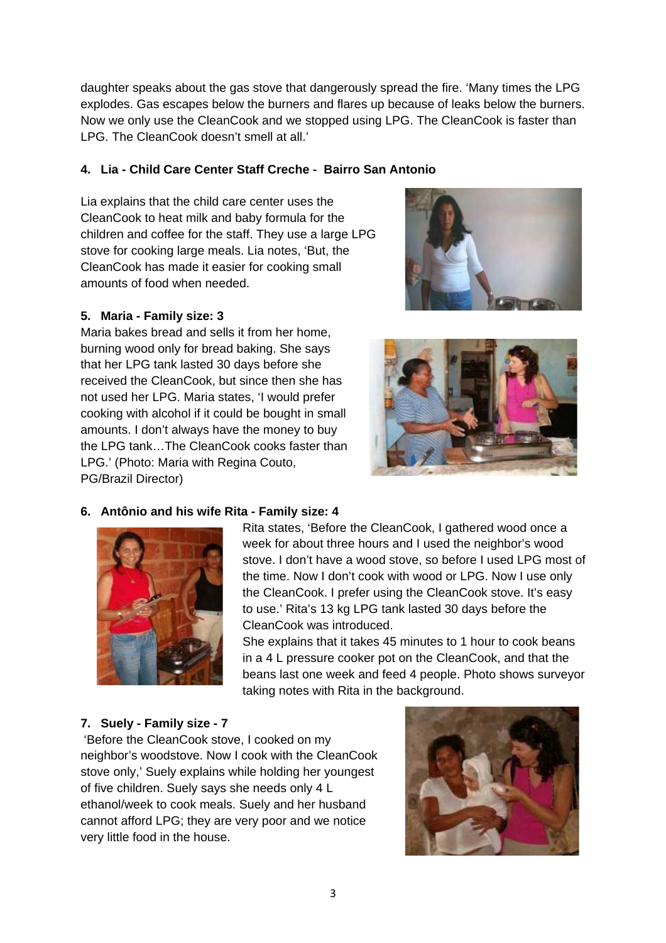daughter speaks about the gas stove that dangerously spread the fire. 'Many times the LPG explodes. Gas escapes below the burners and flares up because of leaks below the burners. Now we only use the CleanCook and we stopped using LPG. The CleanCook is faster than LPG. The CleanCook doesn't smell at all.'

# **4. Lia - Child Care Center Staff Creche - Bairro San Antonio**

Lia explains that the child care center uses the CleanCook to heat milk and baby formula for the children and coffee for the staff. They use a large LPG stove for cooking large meals. Lia notes, 'But, the CleanCook has made it easier for cooking small amounts of food when needed.

# **5. Maria - Family size: 3**

Maria bakes bread and sells it from her home, burning wood only for bread baking. She says that her LPG tank lasted 30 days before she received the CleanCook, but since then she has not used her LPG. Maria states, 'I would prefer cooking with alcohol if it could be bought in small amounts. I don't always have the money to buy the LPG tank…The CleanCook cooks faster than LPG.' (Photo: Maria with Regina Couto, PG/Brazil Director)





# **6. Antônio and his wife Rita - Family size: 4**



Rita states, 'Before the CleanCook, I gathered wood once a week for about three hours and I used the neighbor's wood stove. I don't have a wood stove, so before I used LPG most of the time. Now I don't cook with wood or LPG. Now I use only the CleanCook. I prefer using the CleanCook stove. It's easy to use.' Rita's 13 kg LPG tank lasted 30 days before the CleanCook was introduced.

She explains that it takes 45 minutes to 1 hour to cook beans in a 4 L pressure cooker pot on the CleanCook, and that the beans last one week and feed 4 people. Photo shows surveyor taking notes with Rita in the background.

# **7. Suely - Family size - 7**

 'Before the CleanCook stove, I cooked on my neighbor's woodstove. Now I cook with the CleanCook stove only,' Suely explains while holding her youngest of five children. Suely says she needs only 4 L ethanol/week to cook meals. Suely and her husband cannot afford LPG; they are very poor and we notice very little food in the house.

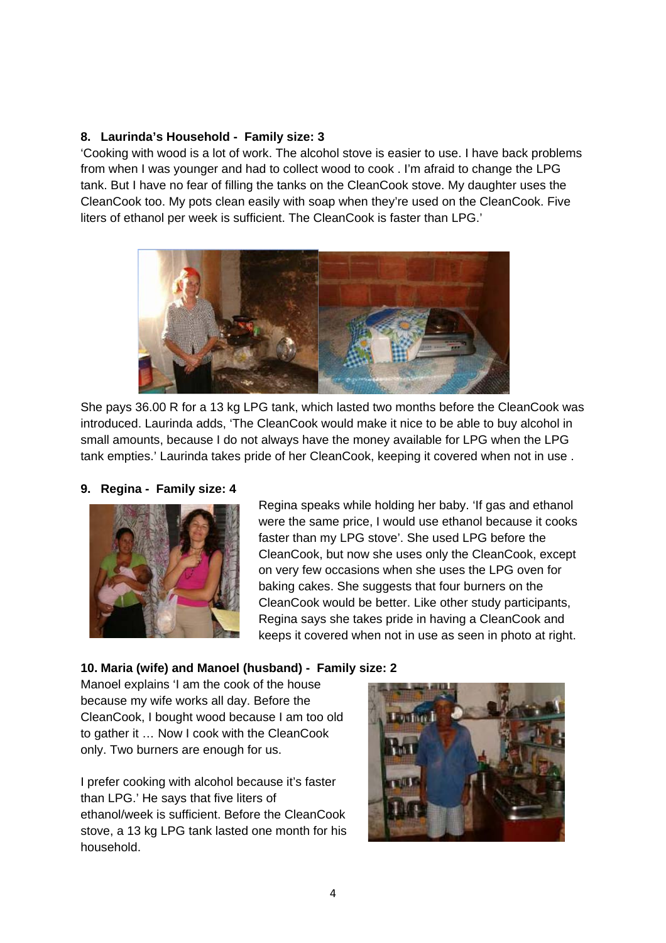## **8. Laurinda's Household - Family size: 3**

'Cooking with wood is a lot of work. The alcohol stove is easier to use. I have back problems from when I was younger and had to collect wood to cook . I'm afraid to change the LPG tank. But I have no fear of filling the tanks on the CleanCook stove. My daughter uses the CleanCook too. My pots clean easily with soap when they're used on the CleanCook. Five liters of ethanol per week is sufficient. The CleanCook is faster than LPG.'



She pays 36.00 R for a 13 kg LPG tank, which lasted two months before the CleanCook was introduced. Laurinda adds, 'The CleanCook would make it nice to be able to buy alcohol in small amounts, because I do not always have the money available for LPG when the LPG tank empties.' Laurinda takes pride of her CleanCook, keeping it covered when not in use .

### **9. Regina - Family size: 4**



Regina speaks while holding her baby. 'If gas and ethanol were the same price, I would use ethanol because it cooks faster than my LPG stove'. She used LPG before the CleanCook, but now she uses only the CleanCook, except on very few occasions when she uses the LPG oven for baking cakes. She suggests that four burners on the CleanCook would be better. Like other study participants, Regina says she takes pride in having a CleanCook and keeps it covered when not in use as seen in photo at right.

### **10. Maria (wife) and Manoel (husband) - Family size: 2**

Manoel explains 'I am the cook of the house because my wife works all day. Before the CleanCook, I bought wood because I am too old to gather it … Now I cook with the CleanCook only. Two burners are enough for us.

I prefer cooking with alcohol because it's faster than LPG.' He says that five liters of ethanol/week is sufficient. Before the CleanCook stove, a 13 kg LPG tank lasted one month for his household.

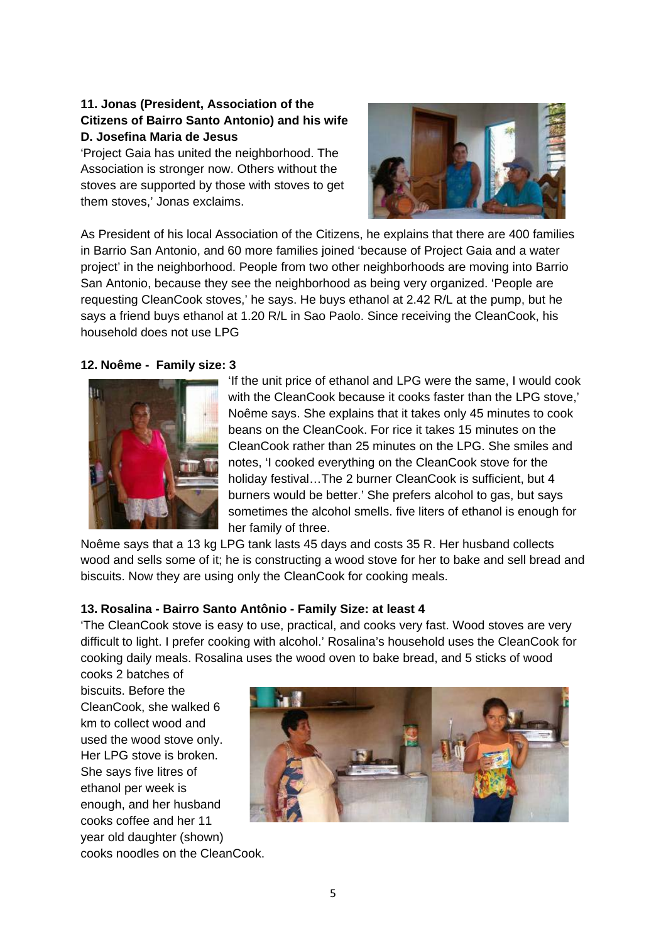# **11. Jonas (President, Association of the Citizens of Bairro Santo Antonio) and his wife D. Josefina Maria de Jesus**

'Project Gaia has united the neighborhood. The Association is stronger now. Others without the stoves are supported by those with stoves to get them stoves,' Jonas exclaims.



As President of his local Association of the Citizens, he explains that there are 400 families in Barrio San Antonio, and 60 more families joined 'because of Project Gaia and a water project' in the neighborhood. People from two other neighborhoods are moving into Barrio San Antonio, because they see the neighborhood as being very organized. 'People are requesting CleanCook stoves,' he says. He buys ethanol at 2.42 R/L at the pump, but he says a friend buys ethanol at 1.20 R/L in Sao Paolo. Since receiving the CleanCook, his household does not use LPG

### **12. Noême - Family size: 3**



'If the unit price of ethanol and LPG were the same, I would cook with the CleanCook because it cooks faster than the LPG stove,' Noême says. She explains that it takes only 45 minutes to cook beans on the CleanCook. For rice it takes 15 minutes on the CleanCook rather than 25 minutes on the LPG. She smiles and notes, 'I cooked everything on the CleanCook stove for the holiday festival...The 2 burner CleanCook is sufficient, but 4 burners would be better.' She prefers alcohol to gas, but says sometimes the alcohol smells. five liters of ethanol is enough for her family of three.

Noême says that a 13 kg LPG tank lasts 45 days and costs 35 R. Her husband collects wood and sells some of it; he is constructing a wood stove for her to bake and sell bread and biscuits. Now they are using only the CleanCook for cooking meals.

# **13. Rosalina - Bairro Santo Antônio - Family Size: at least 4**

'The CleanCook stove is easy to use, practical, and cooks very fast. Wood stoves are very difficult to light. I prefer cooking with alcohol.' Rosalina's household uses the CleanCook for cooking daily meals. Rosalina uses the wood oven to bake bread, and 5 sticks of wood

cooks 2 batches of biscuits. Before the CleanCook, she walked 6 km to collect wood and used the wood stove only. Her LPG stove is broken. She says five litres of ethanol per week is enough, and her husband cooks coffee and her 11 year old daughter (shown) cooks noodles on the CleanCook.

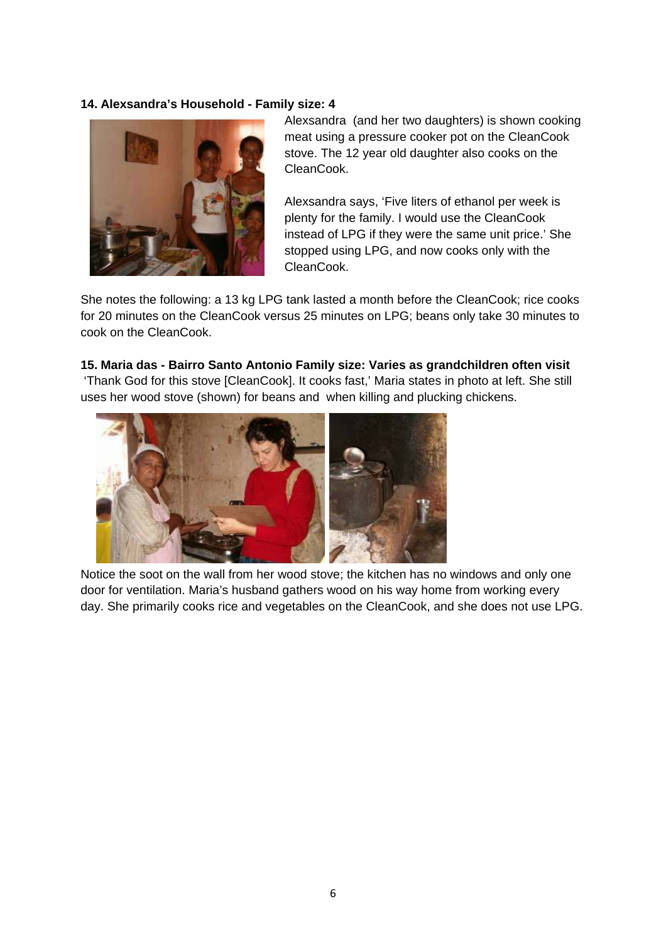### **14. Alexsandra's Household - Family size: 4**



Alexsandra (and her two daughters) is shown cooking meat using a pressure cooker pot on the CleanCook stove. The 12 year old daughter also cooks on the CleanCook.

Alexsandra says, 'Five liters of ethanol per week is plenty for the family. I would use the CleanCook instead of LPG if they were the same unit price.' She stopped using LPG, and now cooks only with the CleanCook.

She notes the following: a 13 kg LPG tank lasted a month before the CleanCook; rice cooks for 20 minutes on the CleanCook versus 25 minutes on LPG; beans only take 30 minutes to cook on the CleanCook.

# **15. Maria das - Bairro Santo Antonio Family size: Varies as grandchildren often visit**

 'Thank God for this stove [CleanCook]. It cooks fast,' Maria states in photo at left. She still uses her wood stove (shown) for beans and when killing and plucking chickens.



Notice the soot on the wall from her wood stove; the kitchen has no windows and only one door for ventilation. Maria's husband gathers wood on his way home from working every day. She primarily cooks rice and vegetables on the CleanCook, and she does not use LPG.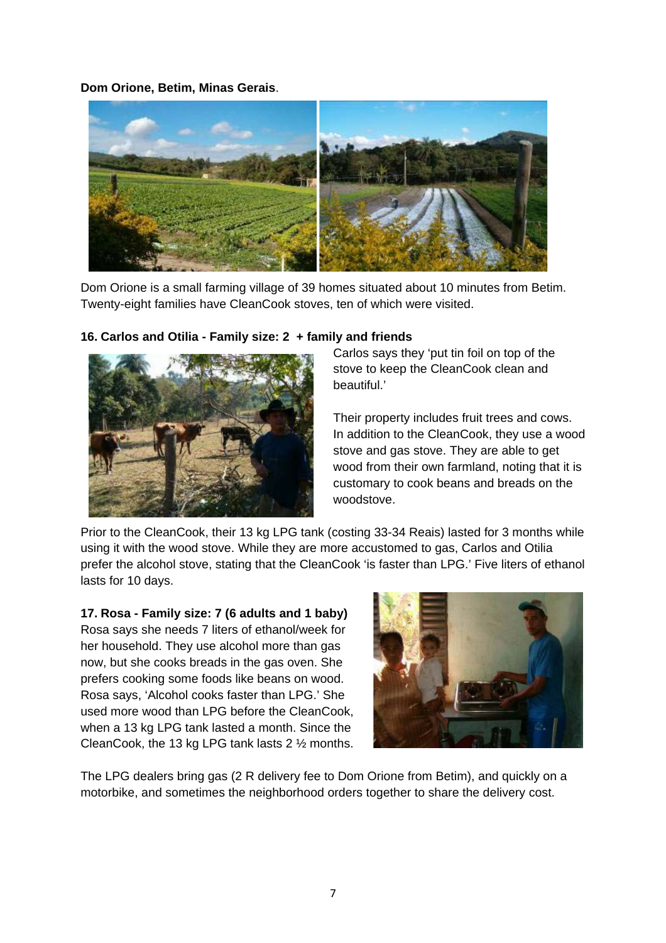### **Dom Orione, Betim, Minas Gerais**.



Dom Orione is a small farming village of 39 homes situated about 10 minutes from Betim. Twenty-eight families have CleanCook stoves, ten of which were visited.



### **16. Carlos and Otilia - Family size: 2 + family and friends**

Carlos says they 'put tin foil on top of the stove to keep the CleanCook clean and beautiful.'

Their property includes fruit trees and cows. In addition to the CleanCook, they use a wood stove and gas stove. They are able to get wood from their own farmland, noting that it is customary to cook beans and breads on the woodstove.

Prior to the CleanCook, their 13 kg LPG tank (costing 33-34 Reais) lasted for 3 months while using it with the wood stove. While they are more accustomed to gas, Carlos and Otilia prefer the alcohol stove, stating that the CleanCook 'is faster than LPG.' Five liters of ethanol lasts for 10 days.

# **17. Rosa - Family size: 7 (6 adults and 1 baby)**

Rosa says she needs 7 liters of ethanol/week for her household. They use alcohol more than gas now, but she cooks breads in the gas oven. She prefers cooking some foods like beans on wood. Rosa says, 'Alcohol cooks faster than LPG.' She used more wood than LPG before the CleanCook, when a 13 kg LPG tank lasted a month. Since the CleanCook, the 13 kg LPG tank lasts 2 ½ months.



The LPG dealers bring gas (2 R delivery fee to Dom Orione from Betim), and quickly on a motorbike, and sometimes the neighborhood orders together to share the delivery cost.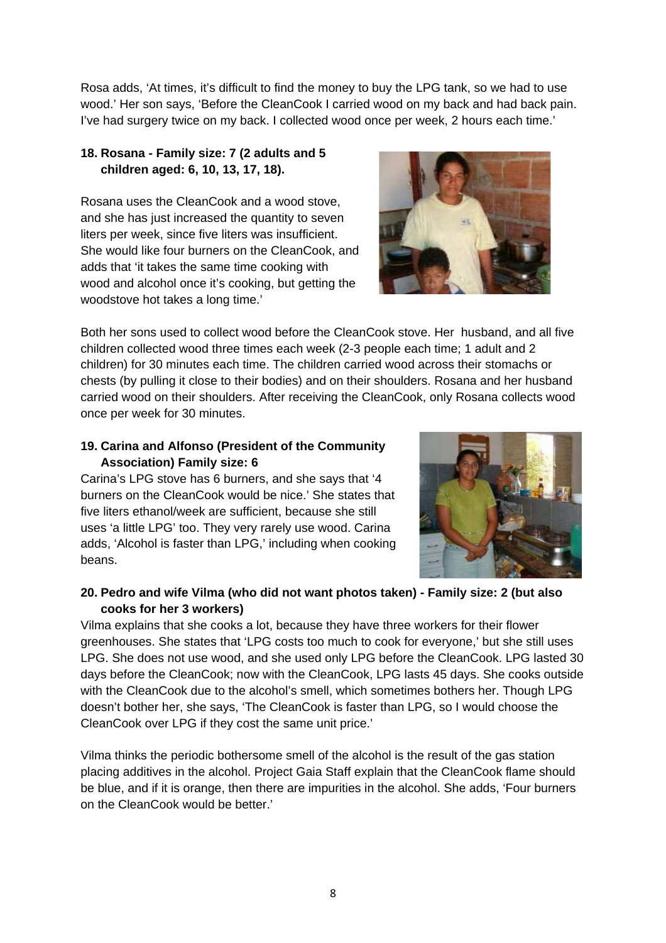Rosa adds, 'At times, it's difficult to find the money to buy the LPG tank, so we had to use wood.' Her son says, 'Before the CleanCook I carried wood on my back and had back pain. I've had surgery twice on my back. I collected wood once per week, 2 hours each time.'

# **18. Rosana - Family size: 7 (2 adults and 5 children aged: 6, 10, 13, 17, 18).**

Rosana uses the CleanCook and a wood stove, and she has just increased the quantity to seven liters per week, since five liters was insufficient. She would like four burners on the CleanCook, and adds that 'it takes the same time cooking with wood and alcohol once it's cooking, but getting the woodstove hot takes a long time.'



Both her sons used to collect wood before the CleanCook stove. Her husband, and all five children collected wood three times each week (2-3 people each time; 1 adult and 2 children) for 30 minutes each time. The children carried wood across their stomachs or chests (by pulling it close to their bodies) and on their shoulders. Rosana and her husband carried wood on their shoulders. After receiving the CleanCook, only Rosana collects wood once per week for 30 minutes.

### **19. Carina and Alfonso (President of the Community Association) Family size: 6**

Carina's LPG stove has 6 burners, and she says that '4 burners on the CleanCook would be nice.' She states that five liters ethanol/week are sufficient, because she still uses 'a little LPG' too. They very rarely use wood. Carina adds, 'Alcohol is faster than LPG,' including when cooking beans.



# **20. Pedro and wife Vilma (who did not want photos taken) - Family size: 2 (but also cooks for her 3 workers)**

Vilma explains that she cooks a lot, because they have three workers for their flower greenhouses. She states that 'LPG costs too much to cook for everyone,' but she still uses LPG. She does not use wood, and she used only LPG before the CleanCook. LPG lasted 30 days before the CleanCook; now with the CleanCook, LPG lasts 45 days. She cooks outside with the CleanCook due to the alcohol's smell, which sometimes bothers her. Though LPG doesn't bother her, she says, 'The CleanCook is faster than LPG, so I would choose the CleanCook over LPG if they cost the same unit price.'

Vilma thinks the periodic bothersome smell of the alcohol is the result of the gas station placing additives in the alcohol. Project Gaia Staff explain that the CleanCook flame should be blue, and if it is orange, then there are impurities in the alcohol. She adds, 'Four burners on the CleanCook would be better.'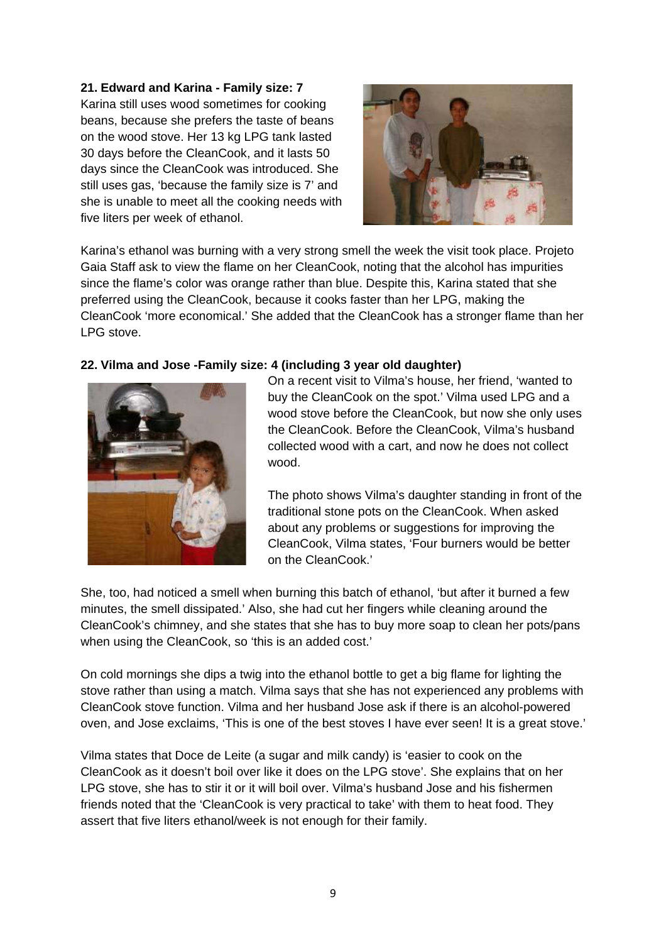## **21. Edward and Karina - Family size: 7**

Karina still uses wood sometimes for cooking beans, because she prefers the taste of beans on the wood stove. Her 13 kg LPG tank lasted 30 days before the CleanCook, and it lasts 50 days since the CleanCook was introduced. She still uses gas, 'because the family size is 7' and she is unable to meet all the cooking needs with five liters per week of ethanol.



Karina's ethanol was burning with a very strong smell the week the visit took place. Projeto Gaia Staff ask to view the flame on her CleanCook, noting that the alcohol has impurities since the flame's color was orange rather than blue. Despite this, Karina stated that she preferred using the CleanCook, because it cooks faster than her LPG, making the CleanCook 'more economical.' She added that the CleanCook has a stronger flame than her LPG stove.

# **22. Vilma and Jose -Family size: 4 (including 3 year old daughter)**



On a recent visit to Vilma's house, her friend, 'wanted to buy the CleanCook on the spot.' Vilma used LPG and a wood stove before the CleanCook, but now she only uses the CleanCook. Before the CleanCook, Vilma's husband collected wood with a cart, and now he does not collect wood.

The photo shows Vilma's daughter standing in front of the traditional stone pots on the CleanCook. When asked about any problems or suggestions for improving the CleanCook, Vilma states, 'Four burners would be better on the CleanCook.'

She, too, had noticed a smell when burning this batch of ethanol, 'but after it burned a few minutes, the smell dissipated.' Also, she had cut her fingers while cleaning around the CleanCook's chimney, and she states that she has to buy more soap to clean her pots/pans when using the CleanCook, so 'this is an added cost.'

On cold mornings she dips a twig into the ethanol bottle to get a big flame for lighting the stove rather than using a match. Vilma says that she has not experienced any problems with CleanCook stove function. Vilma and her husband Jose ask if there is an alcohol-powered oven, and Jose exclaims, 'This is one of the best stoves I have ever seen! It is a great stove.'

Vilma states that Doce de Leite (a sugar and milk candy) is 'easier to cook on the CleanCook as it doesn't boil over like it does on the LPG stove'. She explains that on her LPG stove, she has to stir it or it will boil over. Vilma's husband Jose and his fishermen friends noted that the 'CleanCook is very practical to take' with them to heat food. They assert that five liters ethanol/week is not enough for their family.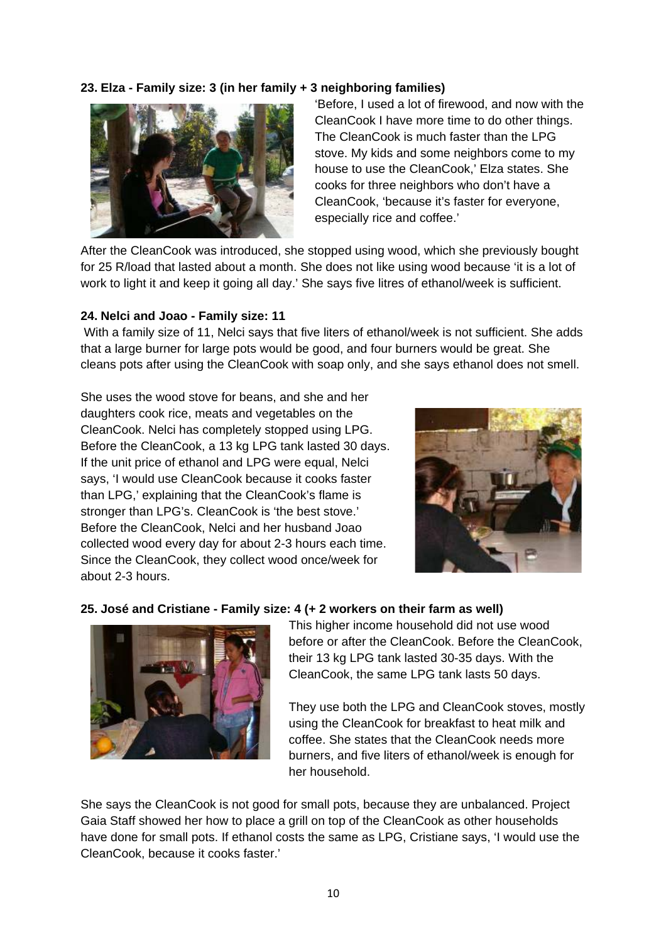## **23. Elza - Family size: 3 (in her family + 3 neighboring families)**



'Before, I used a lot of firewood, and now with the CleanCook I have more time to do other things. The CleanCook is much faster than the LPG stove. My kids and some neighbors come to my house to use the CleanCook,' Elza states. She cooks for three neighbors who don't have a CleanCook, 'because it's faster for everyone, especially rice and coffee.'

After the CleanCook was introduced, she stopped using wood, which she previously bought for 25 R/load that lasted about a month. She does not like using wood because 'it is a lot of work to light it and keep it going all day.' She says five litres of ethanol/week is sufficient.

#### **24. Nelci and Joao - Family size: 11**

 With a family size of 11, Nelci says that five liters of ethanol/week is not sufficient. She adds that a large burner for large pots would be good, and four burners would be great. She cleans pots after using the CleanCook with soap only, and she says ethanol does not smell.

She uses the wood stove for beans, and she and her daughters cook rice, meats and vegetables on the CleanCook. Nelci has completely stopped using LPG. Before the CleanCook, a 13 kg LPG tank lasted 30 days. If the unit price of ethanol and LPG were equal, Nelci says, 'I would use CleanCook because it cooks faster than LPG,' explaining that the CleanCook's flame is stronger than LPG's. CleanCook is 'the best stove.' Before the CleanCook, Nelci and her husband Joao collected wood every day for about 2-3 hours each time. Since the CleanCook, they collect wood once/week for about 2-3 hours.



### **25. José and Cristiane - Family size: 4 (+ 2 workers on their farm as well)**



This higher income household did not use wood before or after the CleanCook. Before the CleanCook, their 13 kg LPG tank lasted 30-35 days. With the CleanCook, the same LPG tank lasts 50 days.

They use both the LPG and CleanCook stoves, mostly using the CleanCook for breakfast to heat milk and coffee. She states that the CleanCook needs more burners, and five liters of ethanol/week is enough for her household.

She says the CleanCook is not good for small pots, because they are unbalanced. Project Gaia Staff showed her how to place a grill on top of the CleanCook as other households have done for small pots. If ethanol costs the same as LPG, Cristiane says, 'I would use the CleanCook, because it cooks faster.'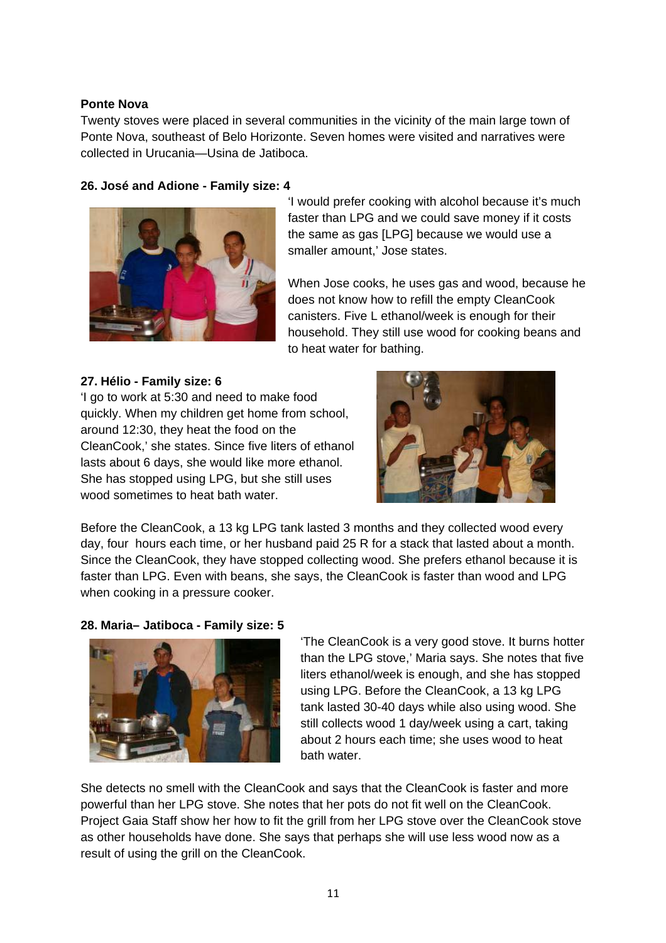### **Ponte Nova**

Twenty stoves were placed in several communities in the vicinity of the main large town of Ponte Nova, southeast of Belo Horizonte. Seven homes were visited and narratives were collected in Urucania—Usina de Jatiboca.

### **26. José and Adione - Family size: 4**



'I would prefer cooking with alcohol because it's much faster than LPG and we could save money if it costs the same as gas [LPG] because we would use a smaller amount,' Jose states.

When Jose cooks, he uses gas and wood, because he does not know how to refill the empty CleanCook canisters. Five L ethanol/week is enough for their household. They still use wood for cooking beans and to heat water for bathing.

#### **27. Hélio - Family size: 6**

'I go to work at 5:30 and need to make food quickly. When my children get home from school, around 12:30, they heat the food on the CleanCook,' she states. Since five liters of ethanol lasts about 6 days, she would like more ethanol. She has stopped using LPG, but she still uses wood sometimes to heat bath water.



Before the CleanCook, a 13 kg LPG tank lasted 3 months and they collected wood every day, four hours each time, or her husband paid 25 R for a stack that lasted about a month. Since the CleanCook, they have stopped collecting wood. She prefers ethanol because it is faster than LPG. Even with beans, she says, the CleanCook is faster than wood and LPG when cooking in a pressure cooker.

#### **28. Maria– Jatiboca - Family size: 5**



'The CleanCook is a very good stove. It burns hotter than the LPG stove,' Maria says. She notes that five liters ethanol/week is enough, and she has stopped using LPG. Before the CleanCook, a 13 kg LPG tank lasted 30-40 days while also using wood. She still collects wood 1 day/week using a cart, taking about 2 hours each time; she uses wood to heat bath water.

She detects no smell with the CleanCook and says that the CleanCook is faster and more powerful than her LPG stove. She notes that her pots do not fit well on the CleanCook. Project Gaia Staff show her how to fit the grill from her LPG stove over the CleanCook stove as other households have done. She says that perhaps she will use less wood now as a result of using the grill on the CleanCook.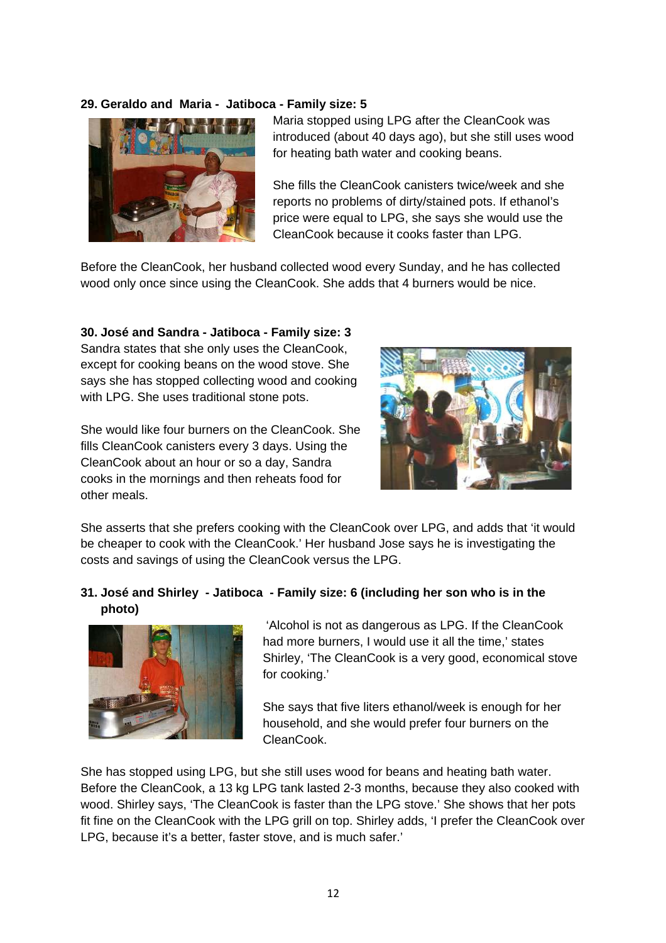### **29. Geraldo and Maria - Jatiboca - Family size: 5**



Maria stopped using LPG after the CleanCook was introduced (about 40 days ago), but she still uses wood for heating bath water and cooking beans.

She fills the CleanCook canisters twice/week and she reports no problems of dirty/stained pots. If ethanol's price were equal to LPG, she says she would use the CleanCook because it cooks faster than LPG.

Before the CleanCook, her husband collected wood every Sunday, and he has collected wood only once since using the CleanCook. She adds that 4 burners would be nice.

**30. José and Sandra - Jatiboca - Family size: 3**  Sandra states that she only uses the CleanCook, except for cooking beans on the wood stove. She says she has stopped collecting wood and cooking with LPG. She uses traditional stone pots.

She would like four burners on the CleanCook. She fills CleanCook canisters every 3 days. Using the CleanCook about an hour or so a day, Sandra cooks in the mornings and then reheats food for other meals.



She asserts that she prefers cooking with the CleanCook over LPG, and adds that 'it would be cheaper to cook with the CleanCook.' Her husband Jose says he is investigating the costs and savings of using the CleanCook versus the LPG.

# **31. José and Shirley - Jatiboca - Family size: 6 (including her son who is in the photo)**



 'Alcohol is not as dangerous as LPG. If the CleanCook had more burners, I would use it all the time,' states Shirley, 'The CleanCook is a very good, economical stove for cooking.'

She says that five liters ethanol/week is enough for her household, and she would prefer four burners on the CleanCook.

She has stopped using LPG, but she still uses wood for beans and heating bath water. Before the CleanCook, a 13 kg LPG tank lasted 2-3 months, because they also cooked with wood. Shirley says, 'The CleanCook is faster than the LPG stove.' She shows that her pots fit fine on the CleanCook with the LPG grill on top. Shirley adds, 'I prefer the CleanCook over LPG, because it's a better, faster stove, and is much safer.'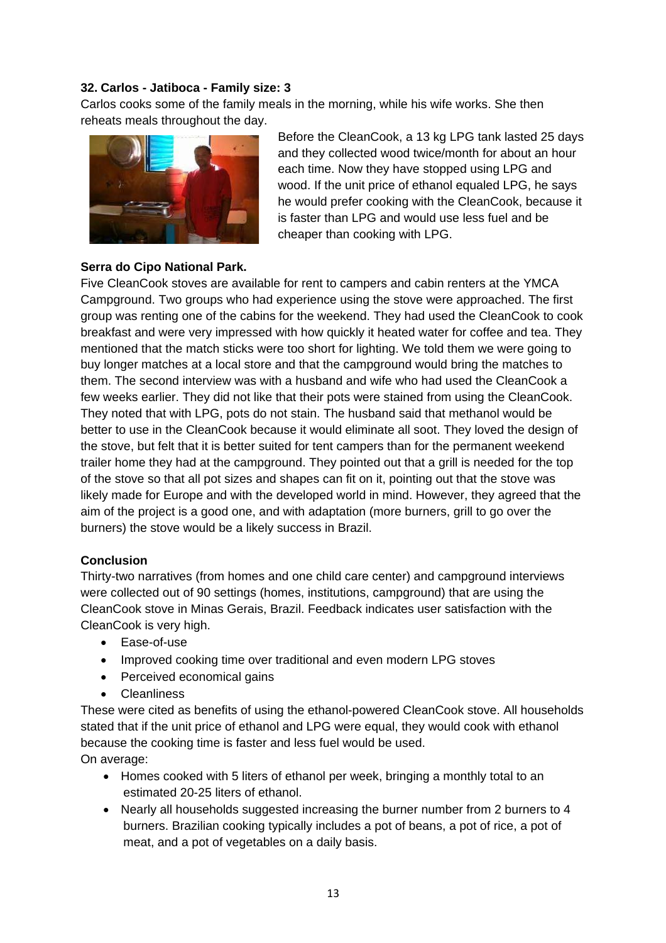# **32. Carlos - Jatiboca - Family size: 3**

Carlos cooks some of the family meals in the morning, while his wife works. She then reheats meals throughout the day.



Before the CleanCook, a 13 kg LPG tank lasted 25 days and they collected wood twice/month for about an hour each time. Now they have stopped using LPG and wood. If the unit price of ethanol equaled LPG, he says he would prefer cooking with the CleanCook, because it is faster than LPG and would use less fuel and be cheaper than cooking with LPG.

### **Serra do Cipo National Park.**

Five CleanCook stoves are available for rent to campers and cabin renters at the YMCA Campground. Two groups who had experience using the stove were approached. The first group was renting one of the cabins for the weekend. They had used the CleanCook to cook breakfast and were very impressed with how quickly it heated water for coffee and tea. They mentioned that the match sticks were too short for lighting. We told them we were going to buy longer matches at a local store and that the campground would bring the matches to them. The second interview was with a husband and wife who had used the CleanCook a few weeks earlier. They did not like that their pots were stained from using the CleanCook. They noted that with LPG, pots do not stain. The husband said that methanol would be better to use in the CleanCook because it would eliminate all soot. They loved the design of the stove, but felt that it is better suited for tent campers than for the permanent weekend trailer home they had at the campground. They pointed out that a grill is needed for the top of the stove so that all pot sizes and shapes can fit on it, pointing out that the stove was likely made for Europe and with the developed world in mind. However, they agreed that the aim of the project is a good one, and with adaptation (more burners, grill to go over the burners) the stove would be a likely success in Brazil.

# **Conclusion**

Thirty-two narratives (from homes and one child care center) and campground interviews were collected out of 90 settings (homes, institutions, campground) that are using the CleanCook stove in Minas Gerais, Brazil. Feedback indicates user satisfaction with the CleanCook is very high.

- Ease-of-use
- Improved cooking time over traditional and even modern LPG stoves
- Perceived economical gains
- Cleanliness

These were cited as benefits of using the ethanol-powered CleanCook stove. All households stated that if the unit price of ethanol and LPG were equal, they would cook with ethanol because the cooking time is faster and less fuel would be used. On average:

- - Homes cooked with 5 liters of ethanol per week, bringing a monthly total to an estimated 20-25 liters of ethanol.
	- Nearly all households suggested increasing the burner number from 2 burners to 4 burners. Brazilian cooking typically includes a pot of beans, a pot of rice, a pot of meat, and a pot of vegetables on a daily basis.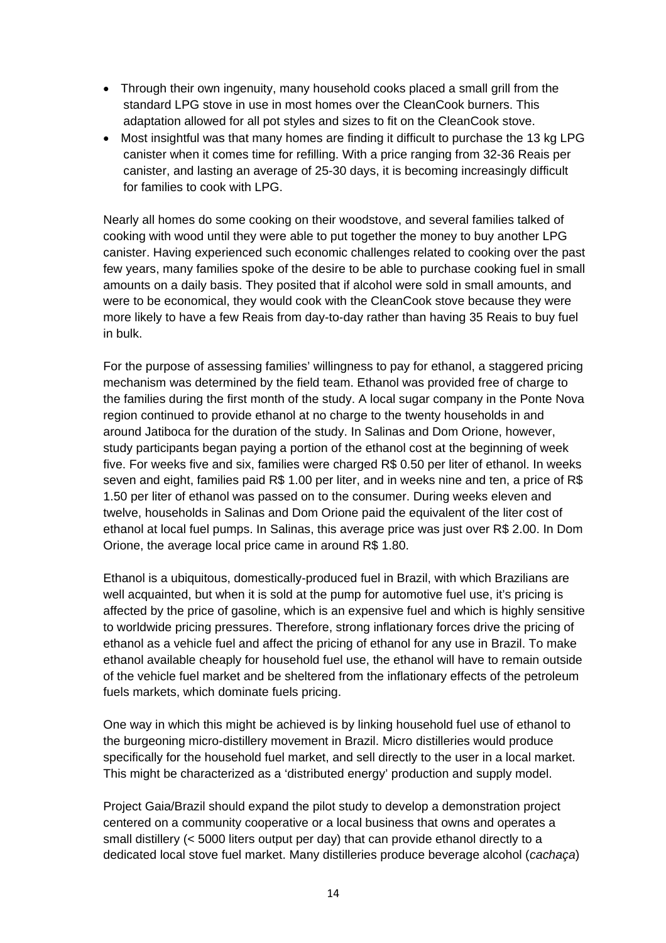- Through their own ingenuity, many household cooks placed a small grill from the standard LPG stove in use in most homes over the CleanCook burners. This adaptation allowed for all pot styles and sizes to fit on the CleanCook stove.
- Most insightful was that many homes are finding it difficult to purchase the 13 kg LPG canister when it comes time for refilling. With a price ranging from 32-36 Reais per canister, and lasting an average of 25-30 days, it is becoming increasingly difficult for families to cook with LPG.

Nearly all homes do some cooking on their woodstove, and several families talked of cooking with wood until they were able to put together the money to buy another LPG canister. Having experienced such economic challenges related to cooking over the past few years, many families spoke of the desire to be able to purchase cooking fuel in small amounts on a daily basis. They posited that if alcohol were sold in small amounts, and were to be economical, they would cook with the CleanCook stove because they were more likely to have a few Reais from day-to-day rather than having 35 Reais to buy fuel in bulk.

For the purpose of assessing families' willingness to pay for ethanol, a staggered pricing mechanism was determined by the field team. Ethanol was provided free of charge to the families during the first month of the study. A local sugar company in the Ponte Nova region continued to provide ethanol at no charge to the twenty households in and around Jatiboca for the duration of the study. In Salinas and Dom Orione, however, study participants began paying a portion of the ethanol cost at the beginning of week five. For weeks five and six, families were charged R\$ 0.50 per liter of ethanol. In weeks seven and eight, families paid R\$ 1.00 per liter, and in weeks nine and ten, a price of R\$ 1.50 per liter of ethanol was passed on to the consumer. During weeks eleven and twelve, households in Salinas and Dom Orione paid the equivalent of the liter cost of ethanol at local fuel pumps. In Salinas, this average price was just over R\$ 2.00. In Dom Orione, the average local price came in around R\$ 1.80.

Ethanol is a ubiquitous, domestically-produced fuel in Brazil, with which Brazilians are well acquainted, but when it is sold at the pump for automotive fuel use, it's pricing is affected by the price of gasoline, which is an expensive fuel and which is highly sensitive to worldwide pricing pressures. Therefore, strong inflationary forces drive the pricing of ethanol as a vehicle fuel and affect the pricing of ethanol for any use in Brazil. To make ethanol available cheaply for household fuel use, the ethanol will have to remain outside of the vehicle fuel market and be sheltered from the inflationary effects of the petroleum fuels markets, which dominate fuels pricing.

One way in which this might be achieved is by linking household fuel use of ethanol to the burgeoning micro-distillery movement in Brazil. Micro distilleries would produce specifically for the household fuel market, and sell directly to the user in a local market. This might be characterized as a 'distributed energy' production and supply model.

Project Gaia/Brazil should expand the pilot study to develop a demonstration project centered on a community cooperative or a local business that owns and operates a small distillery (< 5000 liters output per day) that can provide ethanol directly to a dedicated local stove fuel market. Many distilleries produce beverage alcohol (*cachaça*)